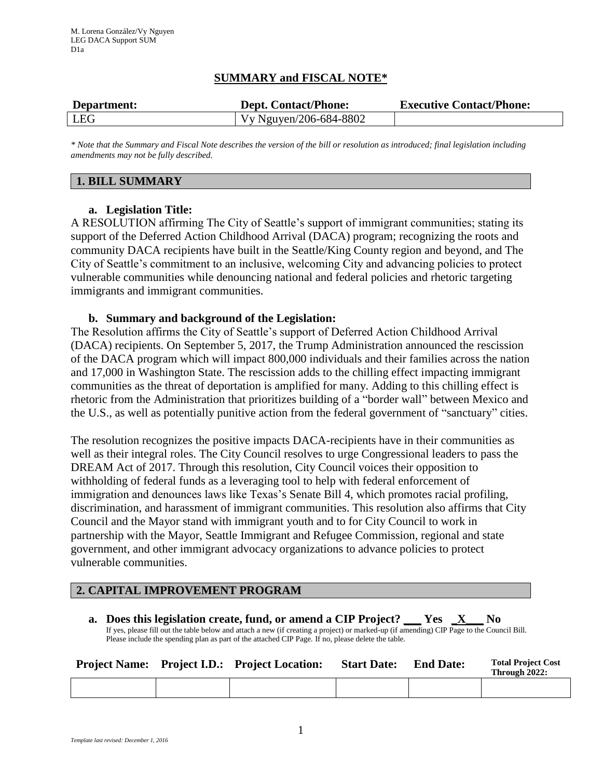# **SUMMARY and FISCAL NOTE\***

| Department: | <b>Dept. Contact/Phone:</b> | <b>Executive Contact/Phone:</b> |
|-------------|-----------------------------|---------------------------------|
| <b>LEG</b>  | Vy Nguyen/206-684-8802      |                                 |

*\* Note that the Summary and Fiscal Note describes the version of the bill or resolution as introduced; final legislation including amendments may not be fully described.*

## **1. BILL SUMMARY**

## **a. Legislation Title:**

A RESOLUTION affirming The City of Seattle's support of immigrant communities; stating its support of the Deferred Action Childhood Arrival (DACA) program; recognizing the roots and community DACA recipients have built in the Seattle/King County region and beyond, and The City of Seattle's commitment to an inclusive, welcoming City and advancing policies to protect vulnerable communities while denouncing national and federal policies and rhetoric targeting immigrants and immigrant communities.

#### **b. Summary and background of the Legislation:**

The Resolution affirms the City of Seattle's support of Deferred Action Childhood Arrival (DACA) recipients. On September 5, 2017, the Trump Administration announced the rescission of the DACA program which will impact 800,000 individuals and their families across the nation and 17,000 in Washington State. The rescission adds to the chilling effect impacting immigrant communities as the threat of deportation is amplified for many. Adding to this chilling effect is rhetoric from the Administration that prioritizes building of a "border wall" between Mexico and the U.S., as well as potentially punitive action from the federal government of "sanctuary" cities.

The resolution recognizes the positive impacts DACA-recipients have in their communities as well as their integral roles. The City Council resolves to urge Congressional leaders to pass the DREAM Act of 2017. Through this resolution, City Council voices their opposition to withholding of federal funds as a leveraging tool to help with federal enforcement of immigration and denounces laws like Texas's Senate Bill 4, which promotes racial profiling, discrimination, and harassment of immigrant communities. This resolution also affirms that City Council and the Mayor stand with immigrant youth and to for City Council to work in partnership with the Mayor, Seattle Immigrant and Refugee Commission, regional and state government, and other immigrant advocacy organizations to advance policies to protect vulnerable communities.

# **2. CAPITAL IMPROVEMENT PROGRAM**

**a. Does this legislation create, fund, or amend a CIP Project? \_\_\_ Yes \_X\_\_\_ No** If yes, please fill out the table below and attach a new (if creating a project) or marked-up (if amending) CIP Page to the Council Bill. Please include the spending plan as part of the attached CIP Page. If no, please delete the table.

|  | <b>Project Name:</b> Project I.D.: Project Location: | <b>Start Date:</b> | <b>End Date:</b> | <b>Total Project Cost</b><br>Through 2022: |
|--|------------------------------------------------------|--------------------|------------------|--------------------------------------------|
|  |                                                      |                    |                  |                                            |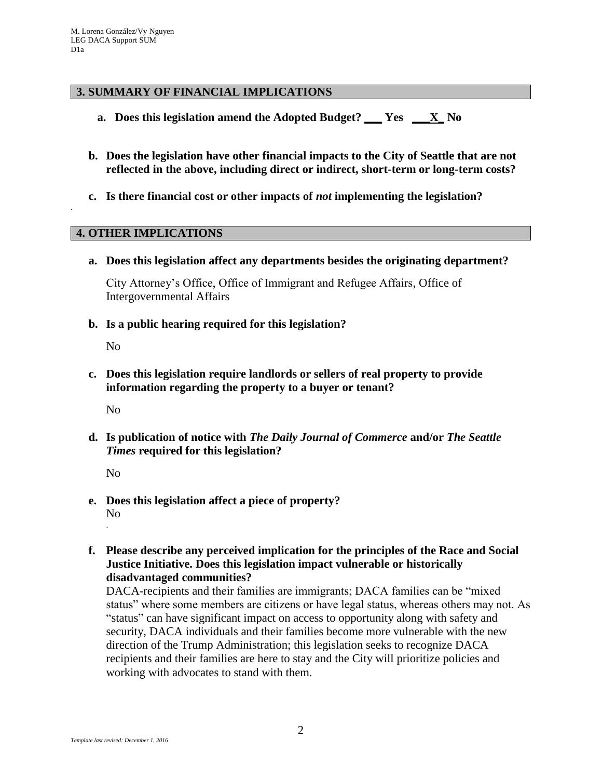## **3. SUMMARY OF FINANCIAL IMPLICATIONS**

- **a. Does this legislation amend the Adopted Budget? \_\_\_ Yes \_\_\_X\_ No**
- **b. Does the legislation have other financial impacts to the City of Seattle that are not reflected in the above, including direct or indirect, short-term or long-term costs?**
- **c. Is there financial cost or other impacts of** *not* **implementing the legislation?**

#### **4. OTHER IMPLICATIONS**

**a. Does this legislation affect any departments besides the originating department?**

City Attorney's Office, Office of Immigrant and Refugee Affairs, Office of Intergovernmental Affairs

**b. Is a public hearing required for this legislation?**

No

.

**c. Does this legislation require landlords or sellers of real property to provide information regarding the property to a buyer or tenant?**

No

**d. Is publication of notice with** *The Daily Journal of Commerce* **and/or** *The Seattle Times* **required for this legislation?**

No

- **e. Does this legislation affect a piece of property?** No .
- **f. Please describe any perceived implication for the principles of the Race and Social Justice Initiative. Does this legislation impact vulnerable or historically disadvantaged communities?**

DACA-recipients and their families are immigrants; DACA families can be "mixed status" where some members are citizens or have legal status, whereas others may not. As "status" can have significant impact on access to opportunity along with safety and security, DACA individuals and their families become more vulnerable with the new direction of the Trump Administration; this legislation seeks to recognize DACA recipients and their families are here to stay and the City will prioritize policies and working with advocates to stand with them.